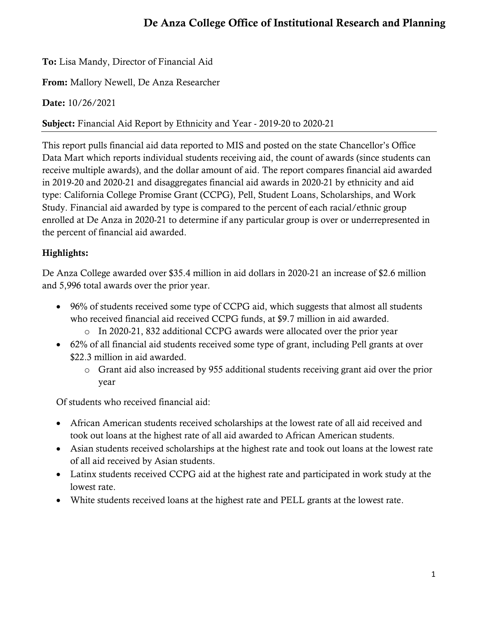# De Anza College Office of Institutional Research and Planning

To: Lisa Mandy, Director of Financial Aid

From: Mallory Newell, De Anza Researcher

Date: 10/26/2021

Subject: Financial Aid Report by Ethnicity and Year - 2019-20 to 2020-21

This report pulls financial aid data reported to MIS and posted on the state Chancellor's Office Data Mart which reports individual students receiving aid, the count of awards (since students can receive multiple awards), and the dollar amount of aid. The report compares financial aid awarded in 2019-20 and 2020-21 and disaggregates financial aid awards in 2020-21 by ethnicity and aid type: California College Promise Grant (CCPG), Pell, Student Loans, Scholarships, and Work Study. Financial aid awarded by type is compared to the percent of each racial/ethnic group enrolled at De Anza in 2020-21 to determine if any particular group is over or underrepresented in the percent of financial aid awarded.

# Highlights:

De Anza College awarded over \$35.4 million in aid dollars in 2020-21 an increase of \$2.6 million and 5,996 total awards over the prior year.

- 96% of students received some type of CCPG aid, which suggests that almost all students who received financial aid received CCPG funds, at \$9.7 million in aid awarded.
	- o In 2020-21, 832 additional CCPG awards were allocated over the prior year
- 62% of all financial aid students received some type of grant, including Pell grants at over \$22.3 million in aid awarded.
	- o Grant aid also increased by 955 additional students receiving grant aid over the prior year

Of students who received financial aid:

- African American students received scholarships at the lowest rate of all aid received and took out loans at the highest rate of all aid awarded to African American students.
- Asian students received scholarships at the highest rate and took out loans at the lowest rate of all aid received by Asian students.
- Latinx students received CCPG aid at the highest rate and participated in work study at the lowest rate.
- White students received loans at the highest rate and PELL grants at the lowest rate.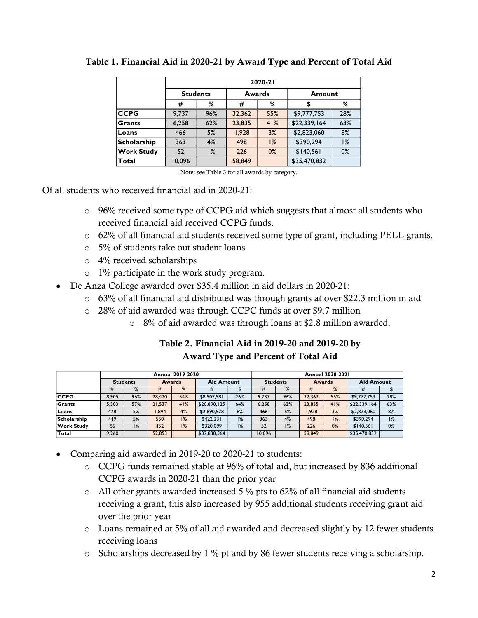|                    | 2020-21         |     |        |        |              |     |  |  |  |  |
|--------------------|-----------------|-----|--------|--------|--------------|-----|--|--|--|--|
|                    | <b>Students</b> |     |        | Awards | Amount       |     |  |  |  |  |
|                    | #               | %   | #      | %      |              | %   |  |  |  |  |
| <b>CCPG</b>        | 9.737           | 96% | 32,362 | 55%    | \$9,777,753  | 28% |  |  |  |  |
| <b>Grants</b>      | 6,258           | 62% | 23,835 | 41%    | \$22,339,164 | 63% |  |  |  |  |
| Loans              | 466             | 5%  | 1,928  | 3%     | \$2,823,060  | 8%  |  |  |  |  |
| <b>Scholarship</b> | 363             | 4%  | 498    | 1%     | \$390,294    | 1%  |  |  |  |  |
| <b>Work Study</b>  | 52              | 1%  | 226    | $0\%$  | \$140,561    | 0%  |  |  |  |  |
| Total              | 10,096          |     | 58,849 |        | \$35,470,832 |     |  |  |  |  |

#### Table 1. Financial Aid in 2020-21 by Award Type and Percent of Total Aid

Note: see Table 3 for all awards by category.

Of all students who received financial aid in 2020-21:

- $\circ$  96% received some type of CCPG aid which suggests that almost all students who received financial aid received CCPG funds.
- o 62% of all financial aid students received some type of grant, including PELL grants.
- o 5% of students take out student loans
- o 4% received scholarships
- o 1% participate in the work study program.
- De Anza College awarded over \$35.4 million in aid dollars in 2020-21:
	- o 63% of all financial aid distributed was through grants at over \$22.3 million in aid
	- o 28% of aid awarded was through CCPC funds at over \$9.7 million
		- o 8% of aid awarded was through loans at \$2.8 million awarded.

## Table 2. Financial Aid in 2019-20 and 2019-20 by Award Type and Percent of Total Aid

|                    | <b>Annual 2019-2020</b> |     |               |     |                   |     |                 | <b>Annual 2020-2021</b> |               |     |                   |     |  |  |
|--------------------|-------------------------|-----|---------------|-----|-------------------|-----|-----------------|-------------------------|---------------|-----|-------------------|-----|--|--|
|                    | <b>Students</b>         |     | <b>Awards</b> |     | <b>Aid Amount</b> |     | <b>Students</b> |                         | <b>Awards</b> |     | <b>Aid Amount</b> |     |  |  |
|                    |                         | %   | #             | %   | #                 |     | #               | %                       | #             | %   | #                 |     |  |  |
| <b>CCPG</b>        | 8.905                   | 96% | 28,420        | 54% | \$8,507,581       | 26% | 9.737           | 96%                     | 32.362        | 55% | \$9,777,753       | 28% |  |  |
| Grants             | 5.303                   | 57% | 21.537        | 41% | \$20,890,125      | 64% | 6.258           | 62%                     | 23.835        | 41% | \$22,339,164      | 63% |  |  |
| Loans              | 478                     | 5%  | .894          | 4%  | \$2,690,528       | 8%  | 466             | 5%                      | 1.928         | 3%  | \$2,823,060       | 8%  |  |  |
| <b>Scholarship</b> | 449                     | 5%  | 550           | 1%  | \$422.231         | 1%  | 363             | 4%                      | 498           | 1%  | \$390.294         | 1%  |  |  |
| <b>Work Study</b>  | 86                      | 1%  | 452           | 1%  | \$320,099         | 1%  | 52              | 1%                      | 226           | 0%  | \$140.561         | 0%  |  |  |
| <b>Total</b>       | 9.260                   |     | 52.853        |     | \$32,830,564      |     | 10.096          |                         | 58.849        |     | \$35,470,832      |     |  |  |

- Comparing aid awarded in 2019-20 to 2020-21 to students:
	- o CCPG funds remained stable at 96% of total aid, but increased by 836 additional CCPG awards in 2020-21 than the prior year
	- o All other grants awarded increased 5 % pts to 62% of all financial aid students receiving a grant, this also increased by 955 additional students receiving grant aid over the prior year
	- o Loans remained at 5% of all aid awarded and decreased slightly by 12 fewer students receiving loans
	- o Scholarships decreased by 1 % pt and by 86 fewer students receiving a scholarship.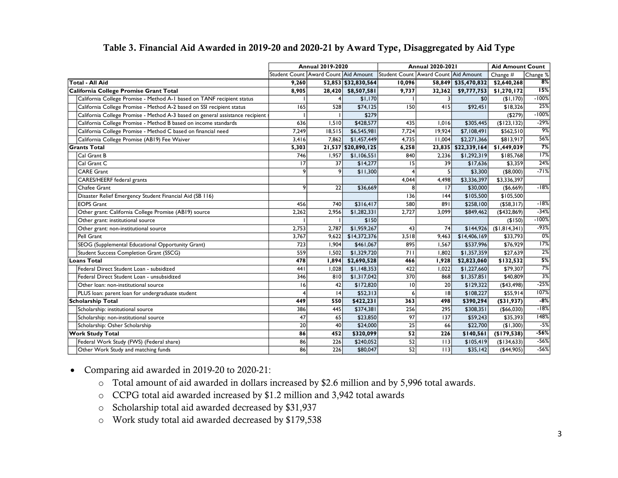|                                                                                                                                                                                                                                                                                                                                                                         | <b>Annual 2019-2020</b>              |        |                     |                                      | <b>Annual 2020-2021</b> | <b>Aid Amount Count</b> |               |               |
|-------------------------------------------------------------------------------------------------------------------------------------------------------------------------------------------------------------------------------------------------------------------------------------------------------------------------------------------------------------------------|--------------------------------------|--------|---------------------|--------------------------------------|-------------------------|-------------------------|---------------|---------------|
|                                                                                                                                                                                                                                                                                                                                                                         | Student Count Award Count Aid Amount |        |                     | Student Count Award Count Aid Amount |                         | Change #<br>Change %    |               |               |
| <b>Total - All Aid</b>                                                                                                                                                                                                                                                                                                                                                  | 9,260                                |        | 52,853 \$32,830,564 | 10,096                               |                         | 58,849 \$35,470,832     | \$2,640,268   | 8%            |
| California College Promise Grant Total                                                                                                                                                                                                                                                                                                                                  | 8.905                                |        | 28,420 \$8,507,581  | 9,737                                | 32,362                  | \$9,777,753             | \$1,270,172   | 15%           |
| California College Promise - Method A-1 based on TANF recipient status                                                                                                                                                                                                                                                                                                  |                                      |        | \$1,170             |                                      |                         | \$0                     | (\$1,170)     | $-100%$       |
| California College Promise - Method A-2 based on SSI recipient status                                                                                                                                                                                                                                                                                                   | 165                                  | 528    | \$74,125            | 150                                  | 415                     | \$92,451                | \$18,326      | 25%           |
| California College Promise - Method A-3 based on general assistance recipient                                                                                                                                                                                                                                                                                           |                                      |        | \$279               |                                      |                         |                         | (\$279)       | $-100%$       |
| California College Promise - Method B based on income standards                                                                                                                                                                                                                                                                                                         | 636                                  | 1,510  | \$428,577           | 435                                  | 1,016                   | \$305,445               | (\$123,132)   | $-29%$        |
| California College Promise - Method C based on financial need                                                                                                                                                                                                                                                                                                           | 7,249                                | 18,515 | \$6,545,981         | 7,724                                | 19,924                  | \$7,108,491             | \$562,510     | $\frac{9}{6}$ |
| California College Promise (AB19) Fee Waiver                                                                                                                                                                                                                                                                                                                            | 3,416                                | 7,862  | \$1,457,449         | 4,735                                | 11,004                  | \$2,271,366             | \$813,917     | 56%           |
| <b>Grants Total</b>                                                                                                                                                                                                                                                                                                                                                     | 5,303                                |        | 21,537 \$20,890,125 | 6,258                                | 23,835                  | \$22,339,164            | \$1,449,039   | 7%            |
| Cal Grant B                                                                                                                                                                                                                                                                                                                                                             | 746                                  | 1,957  | \$1,106,551         | 840                                  | 2,236                   | \$1,292,319             | \$185,768     | 17%           |
| Cal Grant C                                                                                                                                                                                                                                                                                                                                                             | 17                                   | 37     | \$14,277            | 15                                   | 39                      | \$17,636                | \$3,359       | 24%           |
| <b>CARE Grant</b>                                                                                                                                                                                                                                                                                                                                                       | 9                                    | 9      | \$11,300            |                                      | 5                       | \$3,300                 | (\$8,000)     | $-71%$        |
| CARES/HEERF federal grants                                                                                                                                                                                                                                                                                                                                              |                                      |        |                     | 4,044                                | 4,498                   | \$3,336,397             | \$3,336,397   |               |
| Chafee Grant                                                                                                                                                                                                                                                                                                                                                            | 9                                    | 22     | \$36,669            | 8                                    | 17                      | \$30,000                | $($ \$6,669)  | $-18%$        |
| Disaster Relief Emergency Student Financial Aid (SB 116)                                                                                                                                                                                                                                                                                                                |                                      |        |                     | 136                                  | 144                     | \$105,500               | \$105,500     |               |
| <b>EOPS Grant</b>                                                                                                                                                                                                                                                                                                                                                       | 456                                  | 740    | \$316,417           | 580                                  | 891                     | \$258,100               | ( \$58,317)   | $-18%$        |
| Other grant: California College Promise (AB19) source                                                                                                                                                                                                                                                                                                                   | 2,262                                | 2,956  | \$1,282,331         | 2,727                                | 3.099                   | \$849,462               | ( \$432, 869) | $-34%$        |
| Other grant: institutional source                                                                                                                                                                                                                                                                                                                                       |                                      |        | \$150               |                                      |                         |                         | ( \$150)      | -100%         |
| Other grant: non-institutional source                                                                                                                                                                                                                                                                                                                                   | 2,753                                | 2,787  | \$1,959,267         | 43                                   | 74                      | \$144,926               | (\$1,814,341) | $-93%$        |
| Pell Grant                                                                                                                                                                                                                                                                                                                                                              | 3,767                                | 9,622  | \$14,372,376        | 3,518                                | 9,463                   | \$14,406,169            | \$33,793      | $0\%$         |
| SEOG (Supplemental Educational Opportunity Grant)                                                                                                                                                                                                                                                                                                                       | 723                                  | 1,904  | \$461,067           | 895                                  | 1,567                   | \$537,996               | \$76,929      | 17%           |
| <b>Student Success Completion Grant (SSCG)</b>                                                                                                                                                                                                                                                                                                                          | 559                                  | 1,502  | \$1,329,720         | 711                                  | 1,802                   | \$1,357,359             | \$27,639      | 2%            |
| <b>Loans Total</b>                                                                                                                                                                                                                                                                                                                                                      | 478                                  | 1,894  | \$2,690,528         | 466                                  | 1,928                   | \$2,823,060             | \$132,532     | 5%            |
| Federal Direct Student Loan - subsidized                                                                                                                                                                                                                                                                                                                                | 441                                  | 1,028  | \$1,148,353         | 422                                  | 1,022                   | \$1,227,660             | \$79,307      | 7%            |
| Federal Direct Student Loan - unsubsidized                                                                                                                                                                                                                                                                                                                              | 346                                  | 810    | \$1,317,042         | 370                                  | 868                     | \$1,357,851             | \$40,809      | 3%            |
| Other loan: non-institutional source                                                                                                                                                                                                                                                                                                                                    | 16                                   | 42     | \$172,820           | 10                                   | 20                      | \$129,322               | ( \$43,498)   | $-25%$        |
| PLUS loan: parent loan for undergraduate student                                                                                                                                                                                                                                                                                                                        |                                      | 4      | \$52,313            | 6                                    | 8                       | \$108,227               | \$55,914      | 107%          |
| <b>Scholarship Total</b>                                                                                                                                                                                                                                                                                                                                                | 449                                  | 550    | \$422,231           | 363                                  | 498                     | \$390,294               | $($ \$31,937) | $-8%$         |
| Scholarship: institutional source                                                                                                                                                                                                                                                                                                                                       | 386                                  | 445    | \$374,381           | 256                                  | 295                     | \$308,351               | ( \$66,030)   | $-18%$        |
| Scholarship: non-institutional source                                                                                                                                                                                                                                                                                                                                   | 47                                   | 65     | \$23,850            | 97                                   | 137                     | \$59,243                | \$35,393      | 148%          |
| Scholarship: Osher Scholarship                                                                                                                                                                                                                                                                                                                                          | 20                                   | 40     | \$24,000            | 25                                   | 66                      | \$22,700                | (\$1,300)     | $-5%$         |
| <b>Work Study Total</b>                                                                                                                                                                                                                                                                                                                                                 | 86                                   | 452    | \$320,099           | 52                                   | 226                     | \$140,561               | (\$179,538)   | $-56%$        |
| Federal Work Study (FWS) (Federal share)                                                                                                                                                                                                                                                                                                                                | 86                                   | 226    | \$240,052           | 52                                   | 113                     | \$105,419               | (\$134,633)   | $-56%$        |
| Other Work Study and matching funds                                                                                                                                                                                                                                                                                                                                     | 86                                   | 226    | \$80,047            | 52                                   | 113                     | \$35,142                | ( \$44,905)   | $-56%$        |
| Comparing aid awarded in 2019-20 to 2020-21:<br>Total amount of aid awarded in dollars increased by \$2.6 million and by 5,996 total awards.<br>$\circ$<br>CCPG total aid awarded increased by \$1.2 million and 3,942 total awards<br>$\circ$<br>Scholarship total aid awarded decreased by \$31,937<br>$\circ$<br>Work study total aid awarded decreased by \$179,538 |                                      |        |                     |                                      |                         |                         |               |               |
| $\circ$                                                                                                                                                                                                                                                                                                                                                                 |                                      |        |                     |                                      |                         |                         |               |               |

#### Table 3. Financial Aid Awarded in 2019-20 and 2020-21 by Award Type, Disaggregated by Aid Type

- Comparing aid awarded in 2019-20 to 2020-21:
	- o Total amount of aid awarded in dollars increased by \$2.6 million and by 5,996 total awards.
	- o CCPG total aid awarded increased by \$1.2 million and 3,942 total awards
	- o Scholarship total aid awarded decreased by \$31,937
	-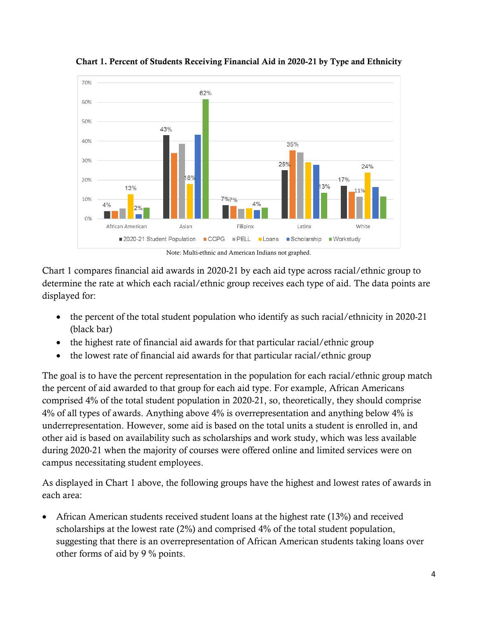

Chart 1. Percent of Students Receiving Financial Aid in 2020-21 by Type and Ethnicity

Note: Multi-ethnic and American Indians not graphed.

Chart 1 compares financial aid awards in 2020-21 by each aid type across racial/ethnic group to determine the rate at which each racial/ethnic group receives each type of aid. The data points are displayed for:

- the percent of the total student population who identify as such racial/ethnicity in 2020-21 (black bar)
- the highest rate of financial aid awards for that particular racial/ethnic group
- the lowest rate of financial aid awards for that particular racial/ethnic group

The goal is to have the percent representation in the population for each racial/ethnic group match the percent of aid awarded to that group for each aid type. For example, African Americans comprised 4% of the total student population in 2020-21, so, theoretically, they should comprise 4% of all types of awards. Anything above 4% is overrepresentation and anything below 4% is underrepresentation. However, some aid is based on the total units a student is enrolled in, and other aid is based on availability such as scholarships and work study, which was less available during 2020-21 when the majority of courses were offered online and limited services were on campus necessitating student employees.

As displayed in Chart 1 above, the following groups have the highest and lowest rates of awards in each area:

• African American students received student loans at the highest rate (13%) and received scholarships at the lowest rate (2%) and comprised 4% of the total student population, suggesting that there is an overrepresentation of African American students taking loans over other forms of aid by 9 % points.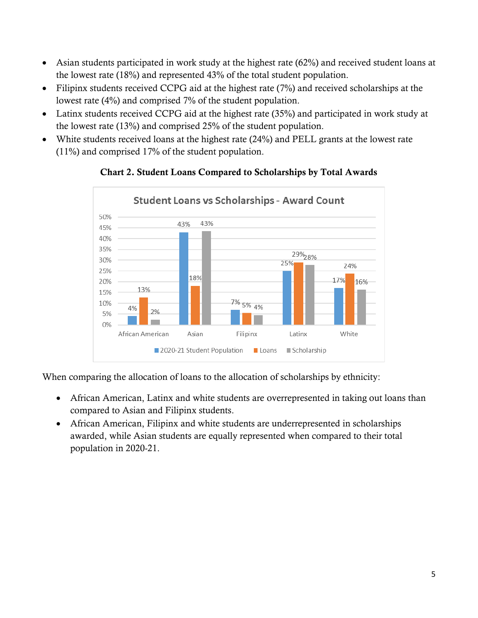- Asian students participated in work study at the highest rate (62%) and received student loans at the lowest rate (18%) and represented 43% of the total student population.
- Filipinx students received CCPG aid at the highest rate (7%) and received scholarships at the lowest rate (4%) and comprised 7% of the student population.
- Latinx students received CCPG aid at the highest rate (35%) and participated in work study at the lowest rate (13%) and comprised 25% of the student population.
- White students received loans at the highest rate (24%) and PELL grants at the lowest rate (11%) and comprised 17% of the student population.



## Chart 2. Student Loans Compared to Scholarships by Total Awards

When comparing the allocation of loans to the allocation of scholarships by ethnicity:

- African American, Latinx and white students are overrepresented in taking out loans than compared to Asian and Filipinx students.
- African American, Filipinx and white students are underrepresented in scholarships awarded, while Asian students are equally represented when compared to their total population in 2020-21.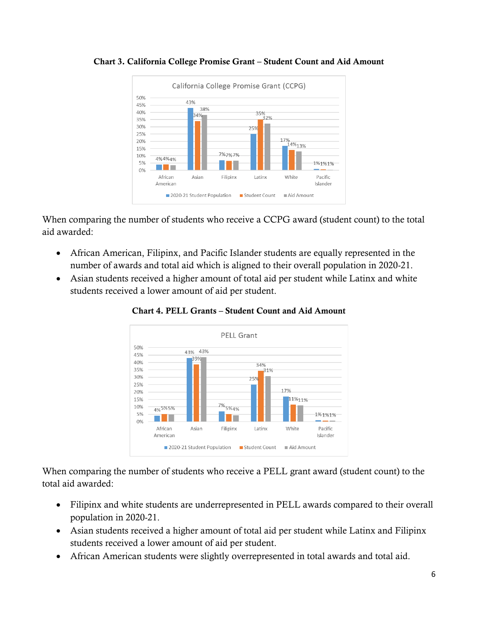

Chart 3. California College Promise Grant – Student Count and Aid Amount

When comparing the number of students who receive a CCPG award (student count) to the total aid awarded:

- African American, Filipinx, and Pacific Islander students are equally represented in the number of awards and total aid which is aligned to their overall population in 2020-21.
- Asian students received a higher amount of total aid per student while Latinx and white students received a lower amount of aid per student.



Chart 4. PELL Grants – Student Count and Aid Amount

When comparing the number of students who receive a PELL grant award (student count) to the total aid awarded:

- Filipinx and white students are underrepresented in PELL awards compared to their overall population in 2020-21.
- Asian students received a higher amount of total aid per student while Latinx and Filipinx students received a lower amount of aid per student.
- African American students were slightly overrepresented in total awards and total aid.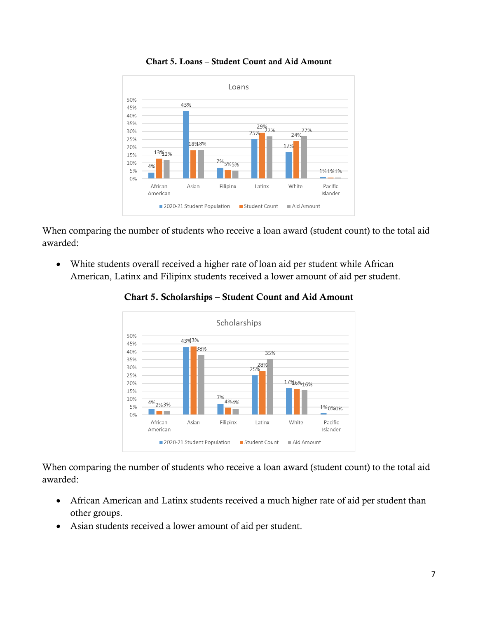

Chart 5. Loans – Student Count and Aid Amount

When comparing the number of students who receive a loan award (student count) to the total aid awarded:

• White students overall received a higher rate of loan aid per student while African American, Latinx and Filipinx students received a lower amount of aid per student.



Chart 5. Scholarships – Student Count and Aid Amount

When comparing the number of students who receive a loan award (student count) to the total aid awarded:

- African American and Latinx students received a much higher rate of aid per student than other groups.
- Asian students received a lower amount of aid per student.